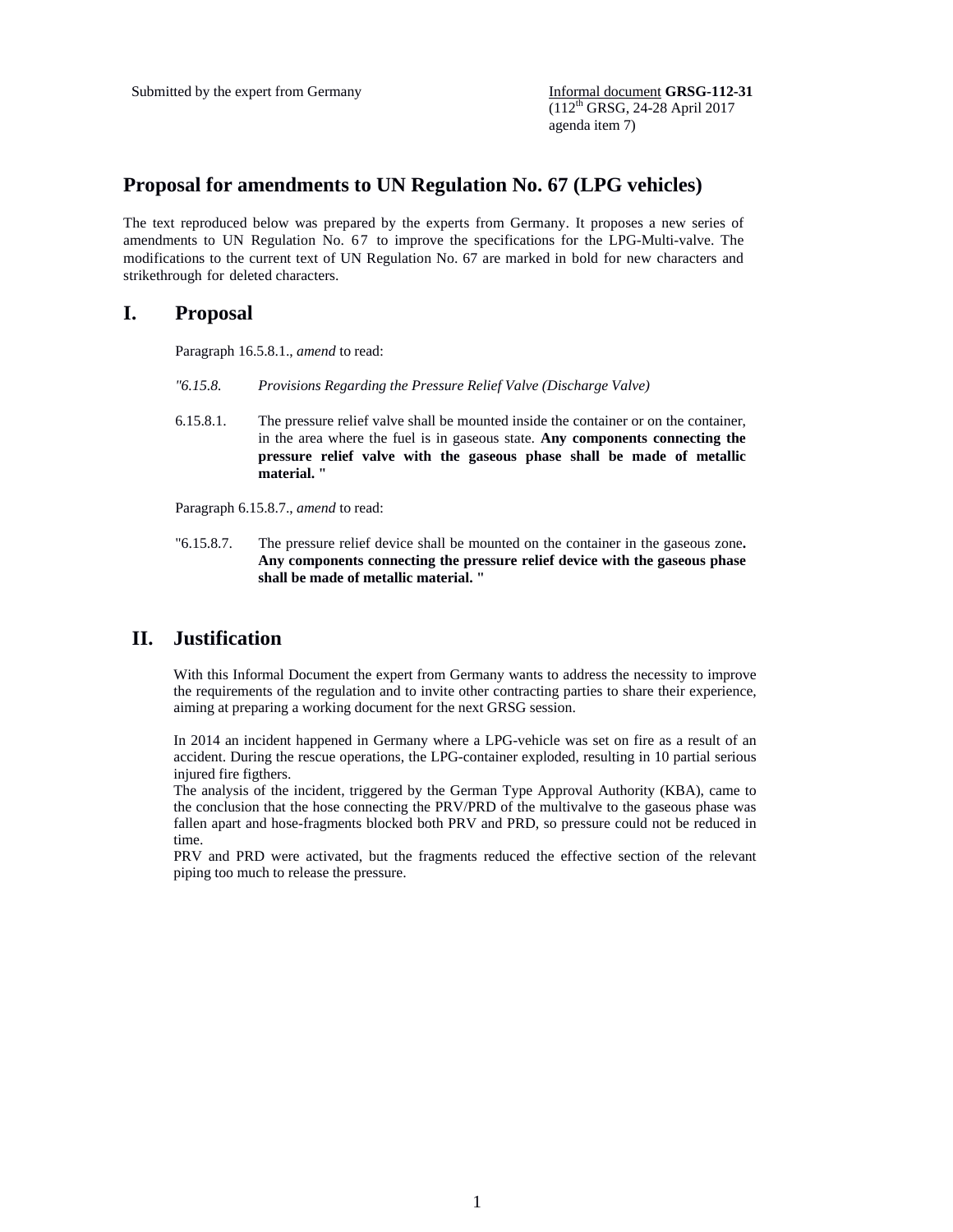(112th GRSG, 24-28 April 2017 agenda item 7)

## **Proposal for amendments to UN Regulation No. 67 (LPG vehicles)**

The text reproduced below was prepared by the experts from Germany. It proposes a new series of amendments to UN Regulation No. 67 to improve the specifications for the LPG-Multi-valve. The modifications to the current text of UN Regulation No. 67 are marked in bold for new characters and strikethrough for deleted characters.

## **I. Proposal**

Paragraph 16.5.8.1., *amend* to read:

- *"6.15.8. Provisions Regarding the Pressure Relief Valve (Discharge Valve)*
- 6.15.8.1. The pressure relief valve shall be mounted inside the container or on the container, in the area where the fuel is in gaseous state. **Any components connecting the pressure relief valve with the gaseous phase shall be made of metallic material. "**

Paragraph 6.15.8.7., *amend* to read:

"6.15.8.7. The pressure relief device shall be mounted on the container in the gaseous zone**. Any components connecting the pressure relief device with the gaseous phase shall be made of metallic material. "** 

## **II. Justification**

With this Informal Document the expert from Germany wants to address the necessity to improve the requirements of the regulation and to invite other contracting parties to share their experience, aiming at preparing a working document for the next GRSG session.

In 2014 an incident happened in Germany where a LPG-vehicle was set on fire as a result of an accident. During the rescue operations, the LPG-container exploded, resulting in 10 partial serious injured fire figthers.

The analysis of the incident, triggered by the German Type Approval Authority (KBA), came to the conclusion that the hose connecting the PRV/PRD of the multivalve to the gaseous phase was fallen apart and hose-fragments blocked both PRV and PRD, so pressure could not be reduced in time.

PRV and PRD were activated, but the fragments reduced the effective section of the relevant piping too much to release the pressure.